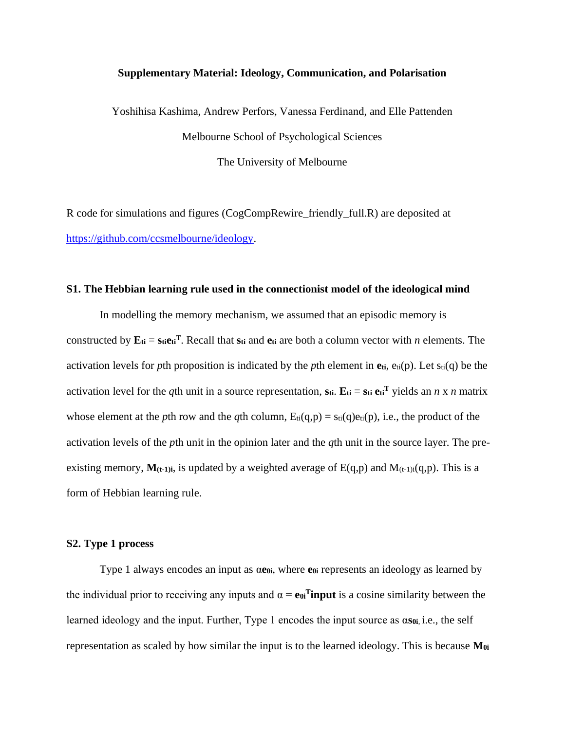## **Supplementary Material: Ideology, Communication, and Polarisation**

Yoshihisa Kashima, Andrew Perfors, Vanessa Ferdinand, and Elle Pattenden Melbourne School of Psychological Sciences The University of Melbourne

R code for simulations and figures (CogCompRewire\_friendly\_full.R) are deposited at [https://github.com/ccsmelbourne/ideology.](https://github.com/ccsmelbourne/ideology)

#### **S1. The Hebbian learning rule used in the connectionist model of the ideological mind**

In modelling the memory mechanism, we assumed that an episodic memory is constructed by  $\mathbf{E}_{\mathbf{t}} = \mathbf{s}_{\mathbf{t}} \mathbf{e}_{\mathbf{t}}^T$ . Recall that  $\mathbf{s}_{\mathbf{t}}$  and  $\mathbf{e}_{\mathbf{t}}$  are both a column vector with *n* elements. The activation levels for *p*th proposition is indicated by the *p*th element in  $e_{ti}$ ,  $e_{ti}(p)$ . Let  $s_{ti}(q)$  be the activation level for the *q*th unit in a source representation,  $\mathbf{s}_{ti}$ .  $\mathbf{E}_{ti} = \mathbf{s}_{ti} \mathbf{e}_{ti}^T$  yields an *n* x *n* matrix whose element at the *p*th row and the *q*th column,  $E_{ti}(q,p) = s_{ti}(q)e_{ti}(p)$ , i.e., the product of the activation levels of the *p*th unit in the opinion later and the *q*th unit in the source layer. The preexisting memory,  $M(t-1)i$ , is updated by a weighted average of  $E(q,p)$  and  $M(t-1)i(q,p)$ . This is a form of Hebbian learning rule.

# **S2. Type 1 process**

Type 1 always encodes an input as α**e0i**, where **e0i** represents an ideology as learned by the individual prior to receiving any inputs and  $\alpha = e_0$ **Tinput** is a cosine similarity between the learned ideology and the input. Further, Type 1 encodes the input source as α**s0i**, i.e., the self representation as scaled by how similar the input is to the learned ideology. This is because **M0i**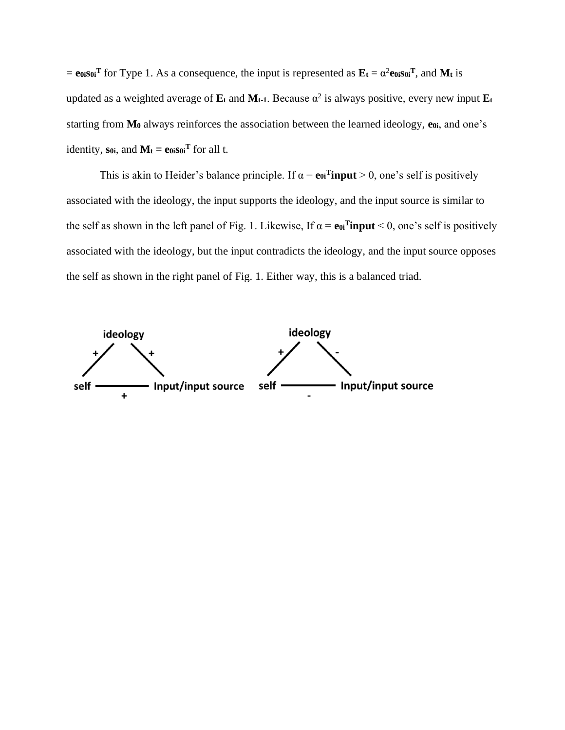$=$  **e** $\omega$ **is** $\omega$ <sup>**T**</sup> for Type 1. As a consequence, the input is represented as  $\mathbf{E}_t = \alpha^2 \mathbf{e}_{0i} \mathbf{so}_i \mathbf{F}$ , and **Mt** is updated as a weighted average of  $\mathbf{E}_t$  and  $\mathbf{M}_{t-1}$ . Because  $\alpha^2$  is always positive, every new input  $\mathbf{E}_t$ starting from **M<sup>0</sup>** always reinforces the association between the learned ideology, **e0i**, and one's identity, soi, and  $M_t = e_{0i} s_{0i}^T$  for all t.

This is akin to Heider's balance principle. If  $\alpha = e_0$ **Tinput** > 0, one's self is positively associated with the ideology, the input supports the ideology, and the input source is similar to the self as shown in the left panel of Fig. 1. Likewise, If  $\alpha = e_0$ **Tinput** < 0, one's self is positively associated with the ideology, but the input contradicts the ideology, and the input source opposes the self as shown in the right panel of Fig. 1. Either way, this is a balanced triad.

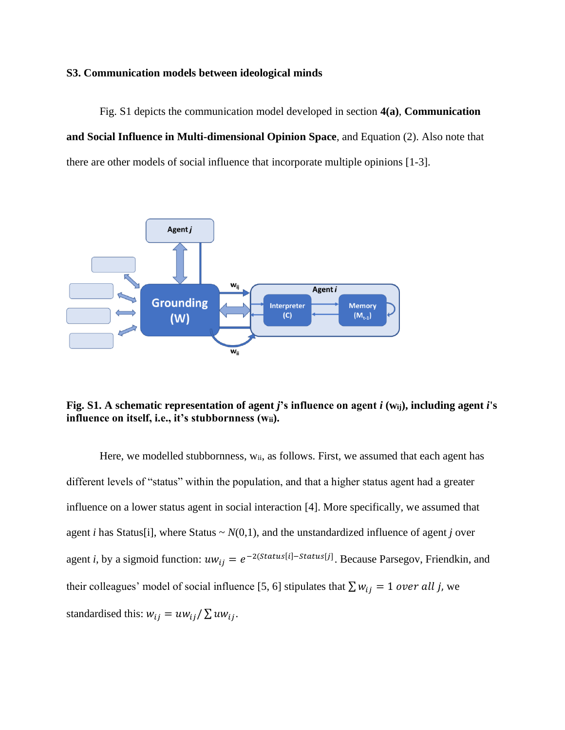## **S3. Communication models between ideological minds**

Fig. S1 depicts the communication model developed in section **4(a)**, **Communication and Social Influence in Multi-dimensional Opinion Space**, and Equation (2). Also note that there are other models of social influence that incorporate multiple opinions [1-3].



# **Fig. S1. A schematic representation of agent** *j***'s influence on agent** *i* **(wij), including agent** *i***'s influence on itself, i.e., it's stubbornness (wii).**

Here, we modelled stubbornness, w<sub>ii</sub>, as follows. First, we assumed that each agent has different levels of "status" within the population, and that a higher status agent had a greater influence on a lower status agent in social interaction [4]. More specifically, we assumed that agent *i* has Status[i], where Status  $\sim N(0,1)$ , and the unstandardized influence of agent *j* over agent *i*, by a sigmoid function:  $uw_{ij} = e^{-2(Status[i] - Status[j]})$ . Because Parsegov, Friendkin, and their colleagues' model of social influence [5, 6] stipulates that  $\sum w_{ij} = 1$  over all j, we standardised this:  $w_{ij} = uw_{ij}/\sum uw_{ij}$ .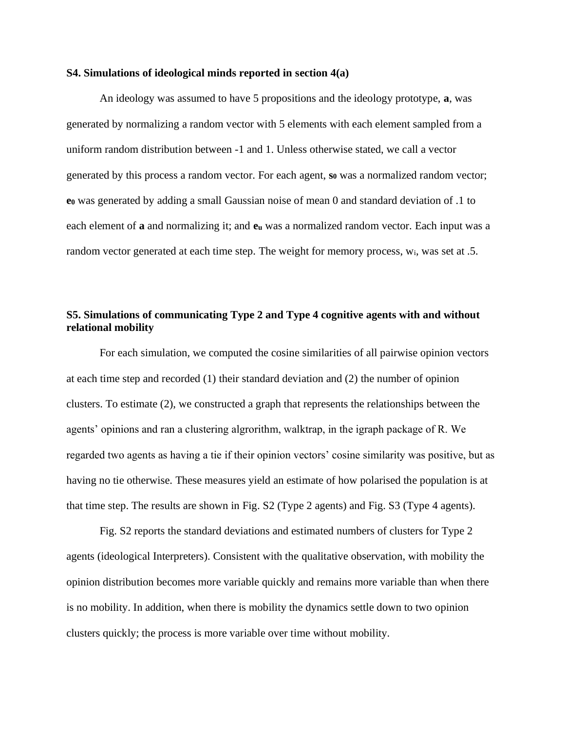#### **S4. Simulations of ideological minds reported in section 4(a)**

An ideology was assumed to have 5 propositions and the ideology prototype, **a**, was generated by normalizing a random vector with 5 elements with each element sampled from a uniform random distribution between -1 and 1. Unless otherwise stated, we call a vector generated by this process a random vector. For each agent, **s<sup>0</sup>** was a normalized random vector; **e<sup>0</sup>** was generated by adding a small Gaussian noise of mean 0 and standard deviation of .1 to each element of **a** and normalizing it; and **e<sup>u</sup>** was a normalized random vector. Each input was a random vector generated at each time step. The weight for memory process, wi, was set at .5.

# **S5. Simulations of communicating Type 2 and Type 4 cognitive agents with and without relational mobility**

For each simulation, we computed the cosine similarities of all pairwise opinion vectors at each time step and recorded (1) their standard deviation and (2) the number of opinion clusters. To estimate (2), we constructed a graph that represents the relationships between the agents' opinions and ran a clustering algrorithm, walktrap, in the igraph package of R. We regarded two agents as having a tie if their opinion vectors' cosine similarity was positive, but as having no tie otherwise. These measures yield an estimate of how polarised the population is at that time step. The results are shown in Fig. S2 (Type 2 agents) and Fig. S3 (Type 4 agents).

Fig. S2 reports the standard deviations and estimated numbers of clusters for Type 2 agents (ideological Interpreters). Consistent with the qualitative observation, with mobility the opinion distribution becomes more variable quickly and remains more variable than when there is no mobility. In addition, when there is mobility the dynamics settle down to two opinion clusters quickly; the process is more variable over time without mobility.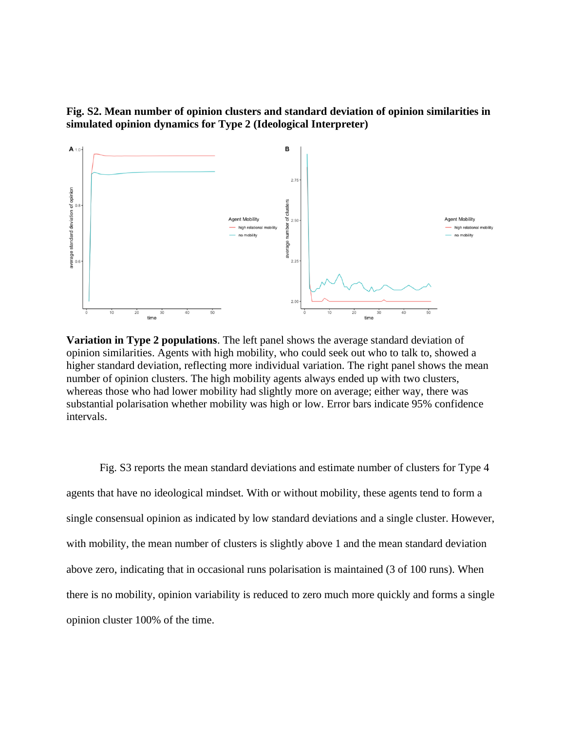# **Fig. S2. Mean number of opinion clusters and standard deviation of opinion similarities in simulated opinion dynamics for Type 2 (Ideological Interpreter)**



**Variation in Type 2 populations**. The left panel shows the average standard deviation of opinion similarities. Agents with high mobility, who could seek out who to talk to, showed a higher standard deviation, reflecting more individual variation. The right panel shows the mean number of opinion clusters. The high mobility agents always ended up with two clusters, whereas those who had lower mobility had slightly more on average; either way, there was substantial polarisation whether mobility was high or low. Error bars indicate 95% confidence intervals.

Fig. S3 reports the mean standard deviations and estimate number of clusters for Type 4 agents that have no ideological mindset. With or without mobility, these agents tend to form a single consensual opinion as indicated by low standard deviations and a single cluster. However, with mobility, the mean number of clusters is slightly above 1 and the mean standard deviation above zero, indicating that in occasional runs polarisation is maintained (3 of 100 runs). When there is no mobility, opinion variability is reduced to zero much more quickly and forms a single opinion cluster 100% of the time.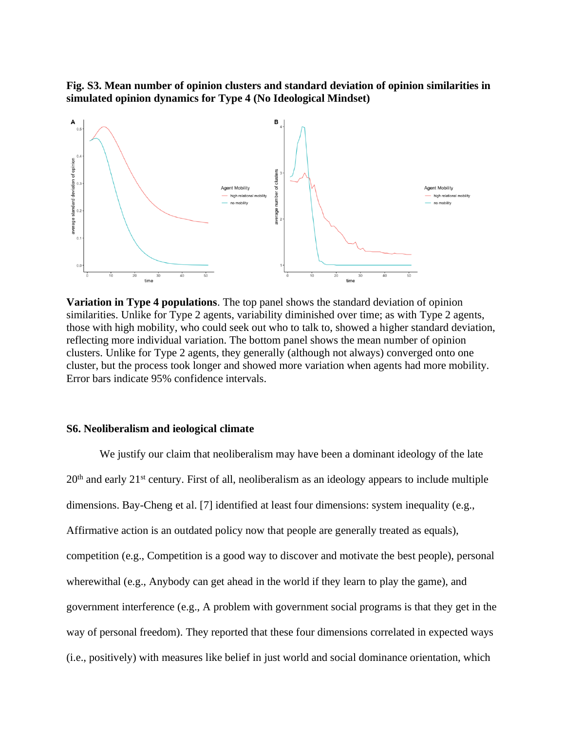**Fig. S3. Mean number of opinion clusters and standard deviation of opinion similarities in simulated opinion dynamics for Type 4 (No Ideological Mindset)**



**Variation in Type 4 populations**. The top panel shows the standard deviation of opinion similarities. Unlike for Type 2 agents, variability diminished over time; as with Type 2 agents, those with high mobility, who could seek out who to talk to, showed a higher standard deviation, reflecting more individual variation. The bottom panel shows the mean number of opinion clusters. Unlike for Type 2 agents, they generally (although not always) converged onto one cluster, but the process took longer and showed more variation when agents had more mobility. Error bars indicate 95% confidence intervals.

## **S6. Neoliberalism and ieological climate**

We justify our claim that neoliberalism may have been a dominant ideology of the late  $20<sup>th</sup>$  and early  $21<sup>st</sup>$  century. First of all, neoliberalism as an ideology appears to include multiple dimensions. Bay-Cheng et al. [7] identified at least four dimensions: system inequality (e.g., Affirmative action is an outdated policy now that people are generally treated as equals), competition (e.g., Competition is a good way to discover and motivate the best people), personal wherewithal (e.g., Anybody can get ahead in the world if they learn to play the game), and government interference (e.g., A problem with government social programs is that they get in the way of personal freedom). They reported that these four dimensions correlated in expected ways (i.e., positively) with measures like belief in just world and social dominance orientation, which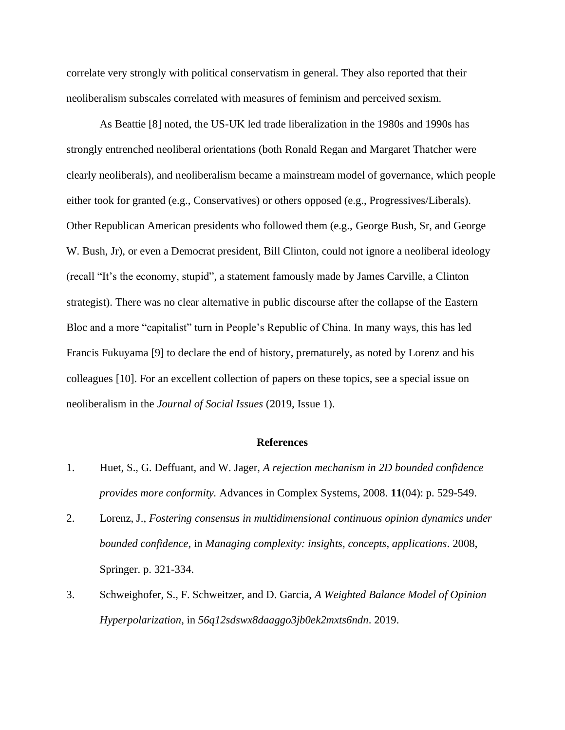correlate very strongly with political conservatism in general. They also reported that their neoliberalism subscales correlated with measures of feminism and perceived sexism.

As Beattie [8] noted, the US-UK led trade liberalization in the 1980s and 1990s has strongly entrenched neoliberal orientations (both Ronald Regan and Margaret Thatcher were clearly neoliberals), and neoliberalism became a mainstream model of governance, which people either took for granted (e.g., Conservatives) or others opposed (e.g., Progressives/Liberals). Other Republican American presidents who followed them (e.g., George Bush, Sr, and George W. Bush, Jr), or even a Democrat president, Bill Clinton, could not ignore a neoliberal ideology (recall "It's the economy, stupid", a statement famously made by James Carville, a Clinton strategist). There was no clear alternative in public discourse after the collapse of the Eastern Bloc and a more "capitalist" turn in People's Republic of China. In many ways, this has led Francis Fukuyama [9] to declare the end of history, prematurely, as noted by Lorenz and his colleagues [10]. For an excellent collection of papers on these topics, see a special issue on neoliberalism in the *Journal of Social Issues* (2019, Issue 1).

## **References**

- 1. Huet, S., G. Deffuant, and W. Jager, *A rejection mechanism in 2D bounded confidence provides more conformity.* Advances in Complex Systems, 2008. **11**(04): p. 529-549.
- 2. Lorenz, J., *Fostering consensus in multidimensional continuous opinion dynamics under bounded confidence*, in *Managing complexity: insights, concepts, applications*. 2008, Springer. p. 321-334.
- 3. Schweighofer, S., F. Schweitzer, and D. Garcia, *A Weighted Balance Model of Opinion Hyperpolarization*, in *56q12sdswx8daaggo3jb0ek2mxts6ndn*. 2019.